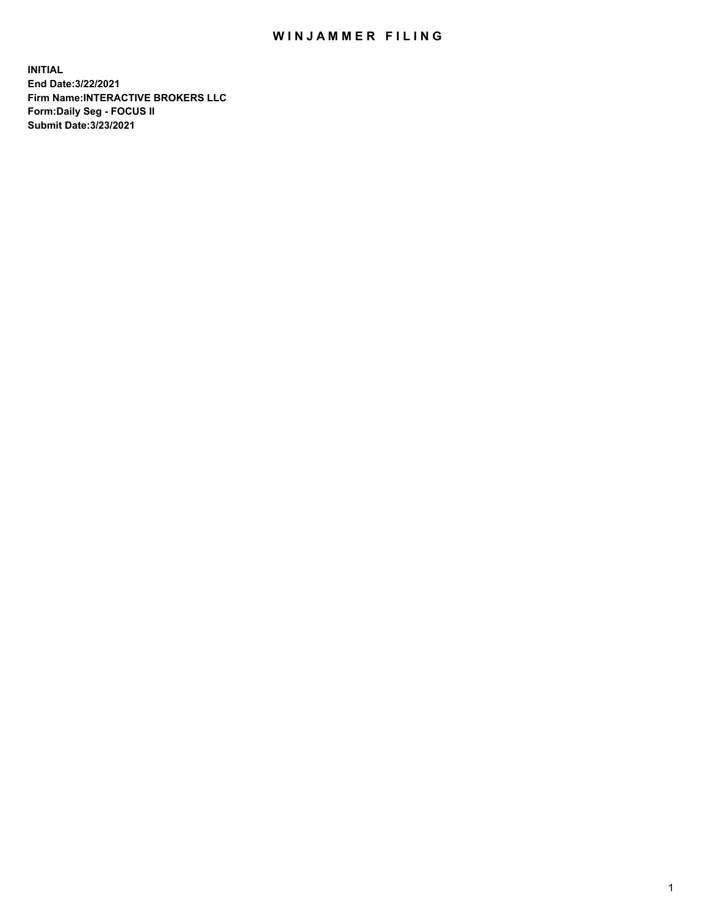## WIN JAMMER FILING

**INITIAL End Date:3/22/2021 Firm Name:INTERACTIVE BROKERS LLC Form:Daily Seg - FOCUS II Submit Date:3/23/2021**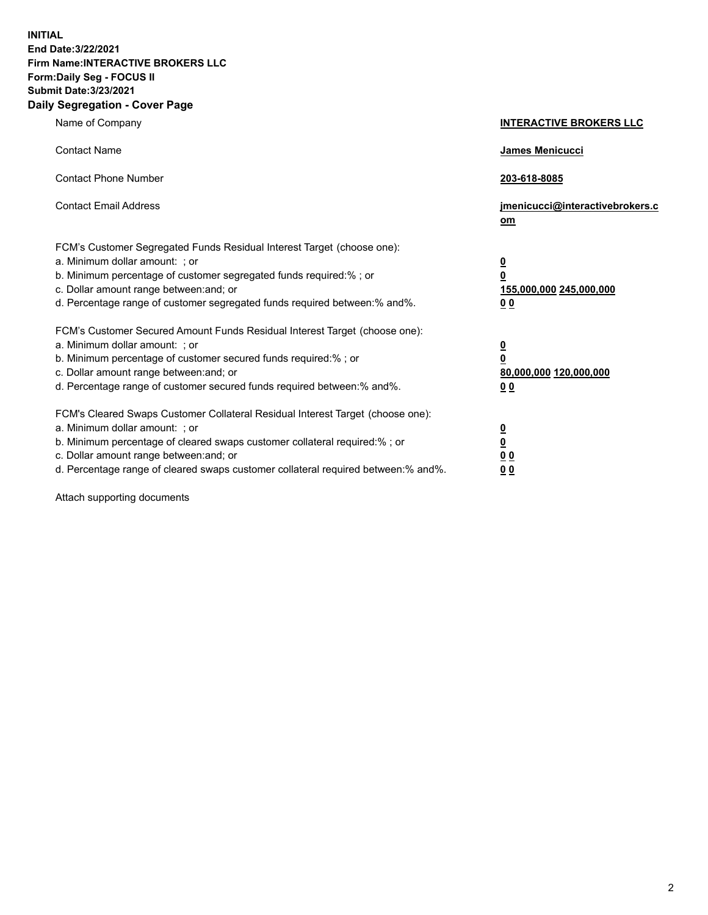**INITIAL End Date:3/22/2021 Firm Name:INTERACTIVE BROKERS LLC Form:Daily Seg - FOCUS II Submit Date:3/23/2021 Daily Segregation - Cover Page**

| Name of Company                                                                                                                                                                                                                                                                                                                | <b>INTERACTIVE BROKERS LLC</b>                                                   |  |
|--------------------------------------------------------------------------------------------------------------------------------------------------------------------------------------------------------------------------------------------------------------------------------------------------------------------------------|----------------------------------------------------------------------------------|--|
| <b>Contact Name</b>                                                                                                                                                                                                                                                                                                            | James Menicucci                                                                  |  |
| <b>Contact Phone Number</b>                                                                                                                                                                                                                                                                                                    | 203-618-8085                                                                     |  |
| <b>Contact Email Address</b>                                                                                                                                                                                                                                                                                                   | jmenicucci@interactivebrokers.c<br>om                                            |  |
| FCM's Customer Segregated Funds Residual Interest Target (choose one):<br>a. Minimum dollar amount: ; or<br>b. Minimum percentage of customer segregated funds required:% ; or<br>c. Dollar amount range between: and; or<br>d. Percentage range of customer segregated funds required between:% and%.                         | <u>0</u><br>$\overline{\mathbf{0}}$<br>155,000,000 245,000,000<br>0 <sub>0</sub> |  |
| FCM's Customer Secured Amount Funds Residual Interest Target (choose one):<br>a. Minimum dollar amount: ; or<br>b. Minimum percentage of customer secured funds required:% ; or<br>c. Dollar amount range between: and; or<br>d. Percentage range of customer secured funds required between:% and%.                           | <u>0</u><br>$\overline{\mathbf{0}}$<br>80,000,000 120,000,000<br>0 <sub>0</sub>  |  |
| FCM's Cleared Swaps Customer Collateral Residual Interest Target (choose one):<br>a. Minimum dollar amount: ; or<br>b. Minimum percentage of cleared swaps customer collateral required:% ; or<br>c. Dollar amount range between: and; or<br>d. Percentage range of cleared swaps customer collateral required between:% and%. | <u>0</u><br>$\underline{\mathbf{0}}$<br>0 <sub>0</sub><br>0 <sub>0</sub>         |  |

Attach supporting documents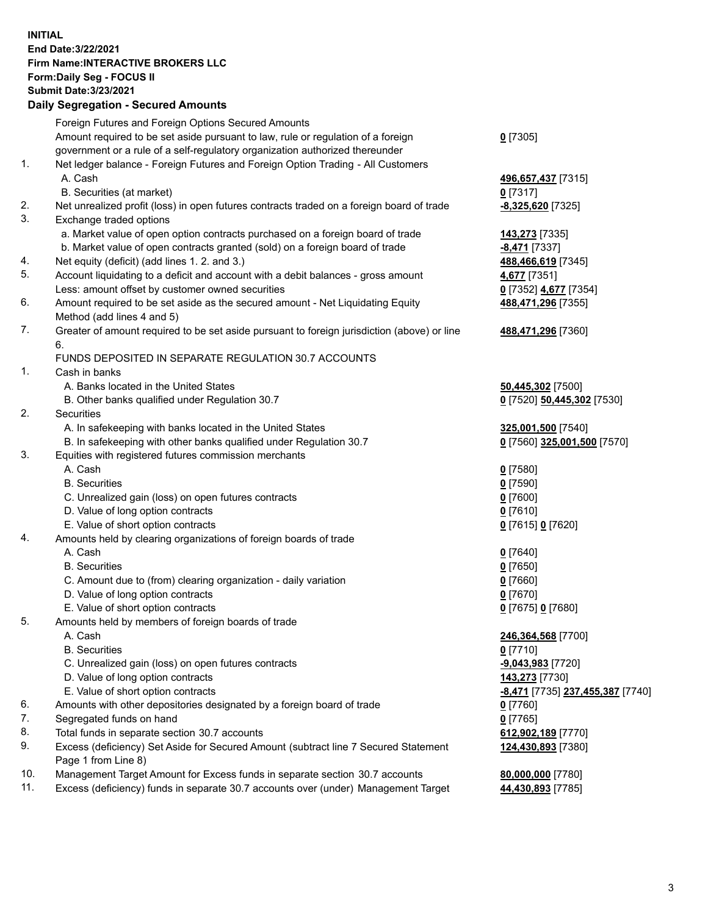**INITIAL End Date:3/22/2021 Firm Name:INTERACTIVE BROKERS LLC Form:Daily Seg - FOCUS II Submit Date:3/23/2021 Daily Segregation - Secured Amounts**

## Foreign Futures and Foreign Options Secured Amounts Amount required to be set aside pursuant to law, rule or regulation of a foreign government or a rule of a self-regulatory organization authorized thereunder **0** [7305] 1. Net ledger balance - Foreign Futures and Foreign Option Trading - All Customers A. Cash **496,657,437** [7315] B. Securities (at market) **0** [7317] 2. Net unrealized profit (loss) in open futures contracts traded on a foreign board of trade **-8,325,620** [7325] 3. Exchange traded options a. Market value of open option contracts purchased on a foreign board of trade **143,273** [7335] b. Market value of open contracts granted (sold) on a foreign board of trade **-8,471** [7337] 4. Net equity (deficit) (add lines 1. 2. and 3.) **488,466,619** [7345] 5. Account liquidating to a deficit and account with a debit balances - gross amount **4,677** [7351] Less: amount offset by customer owned securities **0** [7352] **4,677** [7354] 6. Amount required to be set aside as the secured amount - Net Liquidating Equity Method (add lines 4 and 5) **488,471,296** [7355] 7. Greater of amount required to be set aside pursuant to foreign jurisdiction (above) or line 6. **488,471,296** [7360] FUNDS DEPOSITED IN SEPARATE REGULATION 30.7 ACCOUNTS 1. Cash in banks A. Banks located in the United States **50,445,302** [7500] B. Other banks qualified under Regulation 30.7 **0** [7520] **50,445,302** [7530] 2. Securities A. In safekeeping with banks located in the United States **325,001,500** [7540] B. In safekeeping with other banks qualified under Regulation 30.7 **0** [7560] **325,001,500** [7570] 3. Equities with registered futures commission merchants A. Cash **0** [7580] B. Securities **0** [7590] C. Unrealized gain (loss) on open futures contracts **0** [7600] D. Value of long option contracts **0** [7610] E. Value of short option contracts **0** [7615] **0** [7620] 4. Amounts held by clearing organizations of foreign boards of trade A. Cash **0** [7640] B. Securities **0** [7650] C. Amount due to (from) clearing organization - daily variation **0** [7660] D. Value of long option contracts **0** [7670] E. Value of short option contracts **0** [7675] **0** [7680] 5. Amounts held by members of foreign boards of trade A. Cash **246,364,568** [7700] B. Securities **0** [7710] C. Unrealized gain (loss) on open futures contracts **-9,043,983** [7720] D. Value of long option contracts **143,273** [7730] E. Value of short option contracts **-8,471** [7735] **237,455,387** [7740] 6. Amounts with other depositories designated by a foreign board of trade **0** [7760] 7. Segregated funds on hand **0** [7765] 8. Total funds in separate section 30.7 accounts **612,902,189** [7770] 9. Excess (deficiency) Set Aside for Secured Amount (subtract line 7 Secured Statement Page 1 from Line 8) **124,430,893** [7380] 10. Management Target Amount for Excess funds in separate section 30.7 accounts **80,000,000** [7780] 11. Excess (deficiency) funds in separate 30.7 accounts over (under) Management Target **44,430,893** [7785]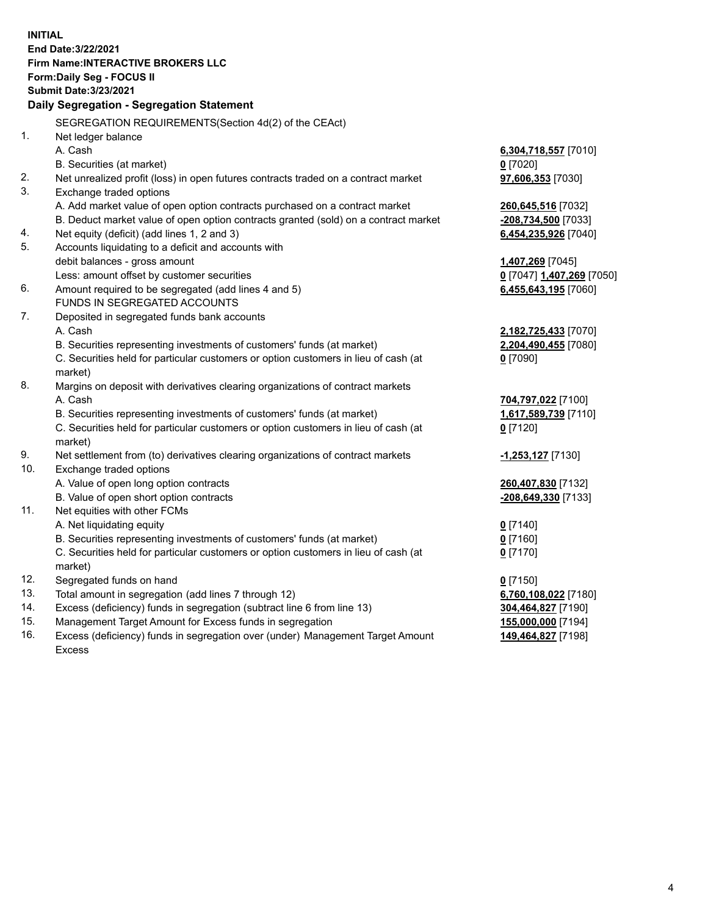**INITIAL End Date:3/22/2021 Firm Name:INTERACTIVE BROKERS LLC Form:Daily Seg - FOCUS II Submit Date:3/23/2021 Daily Segregation - Segregation Statement** SEGREGATION REQUIREMENTS(Section 4d(2) of the CEAct) 1. Net ledger balance A. Cash **6,304,718,557** [7010] B. Securities (at market) **0** [7020] 2. Net unrealized profit (loss) in open futures contracts traded on a contract market **97,606,353** [7030] 3. Exchange traded options A. Add market value of open option contracts purchased on a contract market **260,645,516** [7032] B. Deduct market value of open option contracts granted (sold) on a contract market **-208,734,500** [7033] 4. Net equity (deficit) (add lines 1, 2 and 3) **6,454,235,926** [7040] 5. Accounts liquidating to a deficit and accounts with debit balances - gross amount **1,407,269** [7045] Less: amount offset by customer securities **0** [7047] **1,407,269** [7050] 6. Amount required to be segregated (add lines 4 and 5) **6,455,643,195** [7060] FUNDS IN SEGREGATED ACCOUNTS 7. Deposited in segregated funds bank accounts A. Cash **2,182,725,433** [7070] B. Securities representing investments of customers' funds (at market) **2,204,490,455** [7080] C. Securities held for particular customers or option customers in lieu of cash (at market) **0** [7090] 8. Margins on deposit with derivatives clearing organizations of contract markets A. Cash **704,797,022** [7100] B. Securities representing investments of customers' funds (at market) **1,617,589,739** [7110] C. Securities held for particular customers or option customers in lieu of cash (at market) **0** [7120] 9. Net settlement from (to) derivatives clearing organizations of contract markets **-1,253,127** [7130] 10. Exchange traded options A. Value of open long option contracts **260,407,830** [7132] B. Value of open short option contracts **-208,649,330** [7133] 11. Net equities with other FCMs A. Net liquidating equity **0** [7140] B. Securities representing investments of customers' funds (at market) **0** [7160] C. Securities held for particular customers or option customers in lieu of cash (at market) **0** [7170] 12. Segregated funds on hand **0** [7150] 13. Total amount in segregation (add lines 7 through 12) **6,760,108,022** [7180] 14. Excess (deficiency) funds in segregation (subtract line 6 from line 13) **304,464,827** [7190] 15. Management Target Amount for Excess funds in segregation **155,000,000** [7194] 16. Excess (deficiency) funds in segregation over (under) Management Target Amount **149,464,827** [7198]

Excess